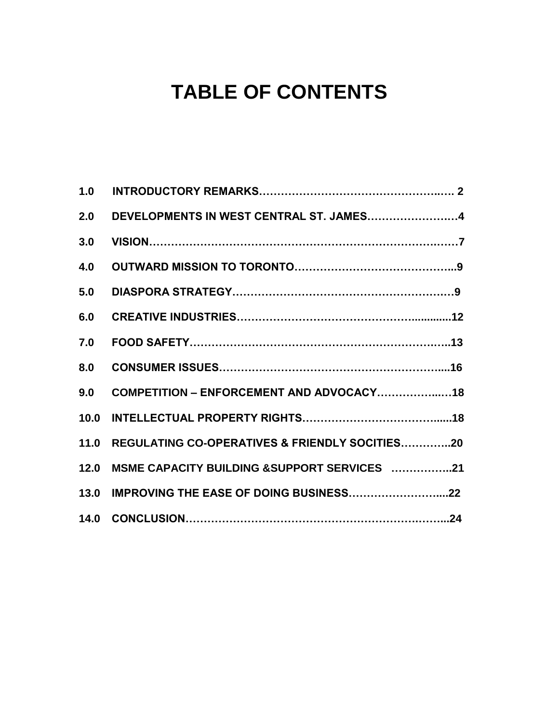# **TABLE OF CONTENTS**

| 1.0  |                                                     |
|------|-----------------------------------------------------|
| 2.0  | DEVELOPMENTS IN WEST CENTRAL ST. JAMES4             |
| 3.0  |                                                     |
| 4.0  |                                                     |
| 5.0  |                                                     |
| 6.0  |                                                     |
| 7.0  |                                                     |
| 8.0  |                                                     |
| 9.0  | COMPETITION - ENFORCEMENT AND ADVOCACY18            |
| 10.0 |                                                     |
|      | 11.0 REGULATING CO-OPERATIVES & FRIENDLY SOCITIES20 |
| 12.0 | MSME CAPACITY BUILDING &SUPPORT SERVICES 21         |
|      | 13.0 IMPROVING THE EASE OF DOING BUSINESS22         |
|      |                                                     |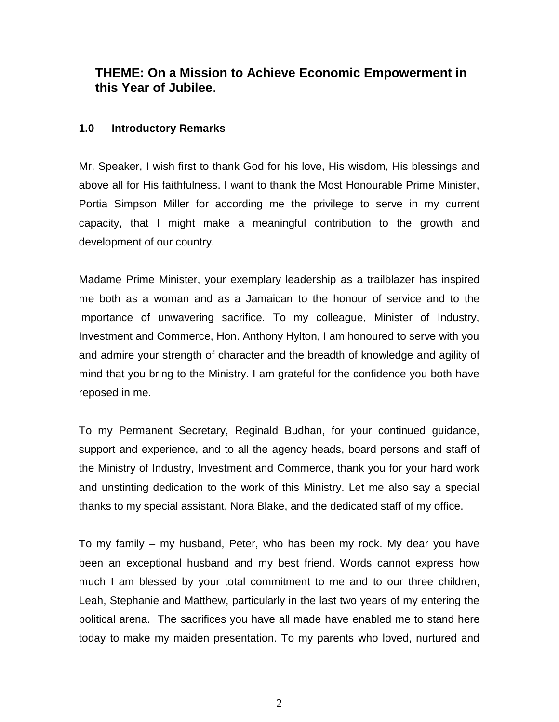# **THEME: On a Mission to Achieve Economic Empowerment in this Year of Jubilee**.

## **1.0 Introductory Remarks**

Mr. Speaker, I wish first to thank God for his love, His wisdom, His blessings and above all for His faithfulness. I want to thank the Most Honourable Prime Minister, Portia Simpson Miller for according me the privilege to serve in my current capacity, that I might make a meaningful contribution to the growth and development of our country.

Madame Prime Minister, your exemplary leadership as a trailblazer has inspired me both as a woman and as a Jamaican to the honour of service and to the importance of unwavering sacrifice. To my colleague, Minister of Industry, Investment and Commerce, Hon. Anthony Hylton, I am honoured to serve with you and admire your strength of character and the breadth of knowledge and agility of mind that you bring to the Ministry. I am grateful for the confidence you both have reposed in me.

To my Permanent Secretary, Reginald Budhan, for your continued guidance, support and experience, and to all the agency heads, board persons and staff of the Ministry of Industry, Investment and Commerce, thank you for your hard work and unstinting dedication to the work of this Ministry. Let me also say a special thanks to my special assistant, Nora Blake, and the dedicated staff of my office.

To my family – my husband, Peter, who has been my rock. My dear you have been an exceptional husband and my best friend. Words cannot express how much I am blessed by your total commitment to me and to our three children, Leah, Stephanie and Matthew, particularly in the last two years of my entering the political arena. The sacrifices you have all made have enabled me to stand here today to make my maiden presentation. To my parents who loved, nurtured and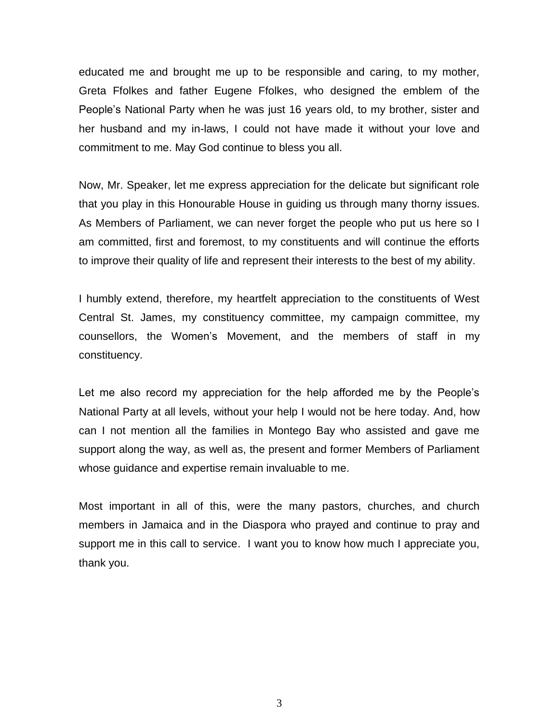educated me and brought me up to be responsible and caring, to my mother, Greta Ffolkes and father Eugene Ffolkes, who designed the emblem of the People's National Party when he was just 16 years old, to my brother, sister and her husband and my in-laws, I could not have made it without your love and commitment to me. May God continue to bless you all.

Now, Mr. Speaker, let me express appreciation for the delicate but significant role that you play in this Honourable House in guiding us through many thorny issues. As Members of Parliament, we can never forget the people who put us here so I am committed, first and foremost, to my constituents and will continue the efforts to improve their quality of life and represent their interests to the best of my ability.

I humbly extend, therefore, my heartfelt appreciation to the constituents of West Central St. James, my constituency committee, my campaign committee, my counsellors, the Women's Movement, and the members of staff in my constituency.

Let me also record my appreciation for the help afforded me by the People's National Party at all levels, without your help I would not be here today. And, how can I not mention all the families in Montego Bay who assisted and gave me support along the way, as well as, the present and former Members of Parliament whose guidance and expertise remain invaluable to me.

Most important in all of this, were the many pastors, churches, and church members in Jamaica and in the Diaspora who prayed and continue to pray and support me in this call to service. I want you to know how much I appreciate you, thank you.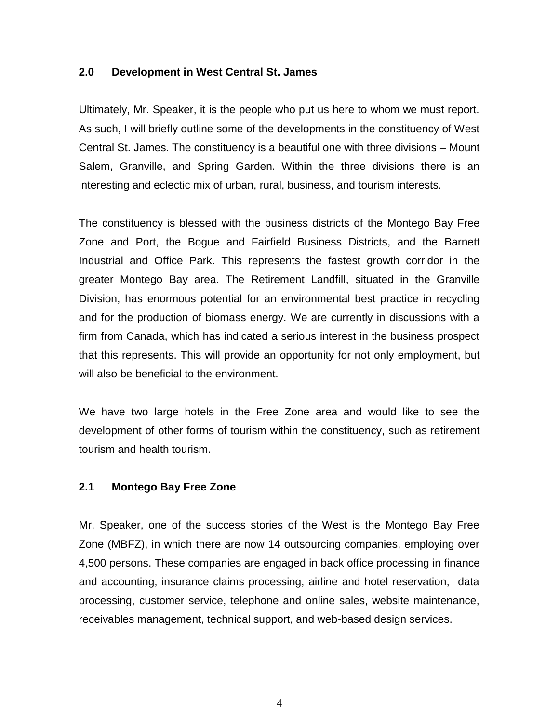#### **2.0 Development in West Central St. James**

Ultimately, Mr. Speaker, it is the people who put us here to whom we must report. As such, I will briefly outline some of the developments in the constituency of West Central St. James. The constituency is a beautiful one with three divisions – Mount Salem, Granville, and Spring Garden. Within the three divisions there is an interesting and eclectic mix of urban, rural, business, and tourism interests.

The constituency is blessed with the business districts of the Montego Bay Free Zone and Port, the Bogue and Fairfield Business Districts, and the Barnett Industrial and Office Park. This represents the fastest growth corridor in the greater Montego Bay area. The Retirement Landfill, situated in the Granville Division, has enormous potential for an environmental best practice in recycling and for the production of biomass energy. We are currently in discussions with a firm from Canada, which has indicated a serious interest in the business prospect that this represents. This will provide an opportunity for not only employment, but will also be beneficial to the environment.

We have two large hotels in the Free Zone area and would like to see the development of other forms of tourism within the constituency, such as retirement tourism and health tourism.

#### **2.1 Montego Bay Free Zone**

Mr. Speaker, one of the success stories of the West is the Montego Bay Free Zone (MBFZ), in which there are now 14 outsourcing companies, employing over 4,500 persons. These companies are engaged in back office processing in finance and accounting, insurance claims processing, airline and hotel reservation, data processing, customer service, telephone and online sales, website maintenance, receivables management, technical support, and web-based design services.

4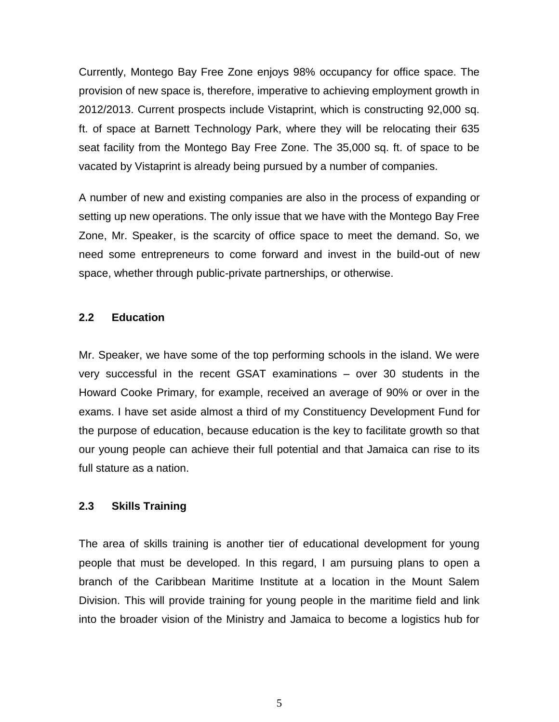Currently, Montego Bay Free Zone enjoys 98% occupancy for office space. The provision of new space is, therefore, imperative to achieving employment growth in 2012/2013. Current prospects include Vistaprint, which is constructing 92,000 sq. ft. of space at Barnett Technology Park, where they will be relocating their 635 seat facility from the Montego Bay Free Zone. The 35,000 sq. ft. of space to be vacated by Vistaprint is already being pursued by a number of companies.

A number of new and existing companies are also in the process of expanding or setting up new operations. The only issue that we have with the Montego Bay Free Zone, Mr. Speaker, is the scarcity of office space to meet the demand. So, we need some entrepreneurs to come forward and invest in the build-out of new space, whether through public-private partnerships, or otherwise.

# **2.2 Education**

Mr. Speaker, we have some of the top performing schools in the island. We were very successful in the recent GSAT examinations – over 30 students in the Howard Cooke Primary, for example, received an average of 90% or over in the exams. I have set aside almost a third of my Constituency Development Fund for the purpose of education, because education is the key to facilitate growth so that our young people can achieve their full potential and that Jamaica can rise to its full stature as a nation.

# **2.3 Skills Training**

The area of skills training is another tier of educational development for young people that must be developed. In this regard, I am pursuing plans to open a branch of the Caribbean Maritime Institute at a location in the Mount Salem Division. This will provide training for young people in the maritime field and link into the broader vision of the Ministry and Jamaica to become a logistics hub for

5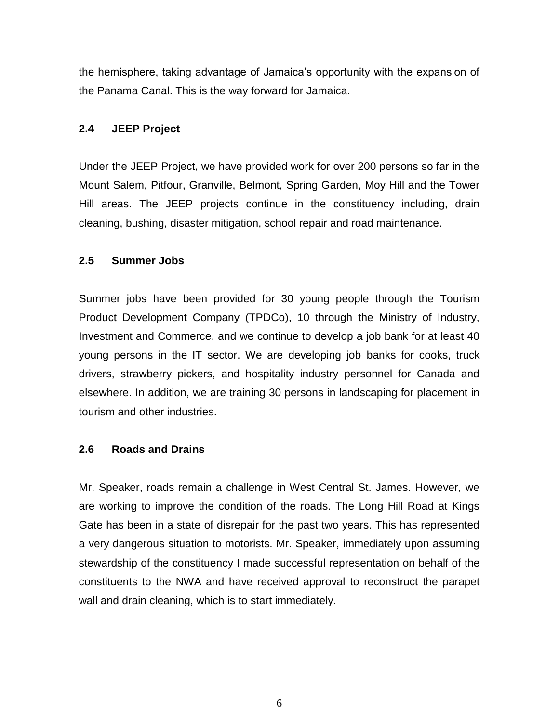the hemisphere, taking advantage of Jamaica's opportunity with the expansion of the Panama Canal. This is the way forward for Jamaica.

# **2.4 JEEP Project**

Under the JEEP Project, we have provided work for over 200 persons so far in the Mount Salem, Pitfour, Granville, Belmont, Spring Garden, Moy Hill and the Tower Hill areas. The JEEP projects continue in the constituency including, drain cleaning, bushing, disaster mitigation, school repair and road maintenance.

# **2.5 Summer Jobs**

Summer jobs have been provided for 30 young people through the Tourism Product Development Company (TPDCo), 10 through the Ministry of Industry, Investment and Commerce, and we continue to develop a job bank for at least 40 young persons in the IT sector. We are developing job banks for cooks, truck drivers, strawberry pickers, and hospitality industry personnel for Canada and elsewhere. In addition, we are training 30 persons in landscaping for placement in tourism and other industries.

# **2.6 Roads and Drains**

Mr. Speaker, roads remain a challenge in West Central St. James. However, we are working to improve the condition of the roads. The Long Hill Road at Kings Gate has been in a state of disrepair for the past two years. This has represented a very dangerous situation to motorists. Mr. Speaker, immediately upon assuming stewardship of the constituency I made successful representation on behalf of the constituents to the NWA and have received approval to reconstruct the parapet wall and drain cleaning, which is to start immediately.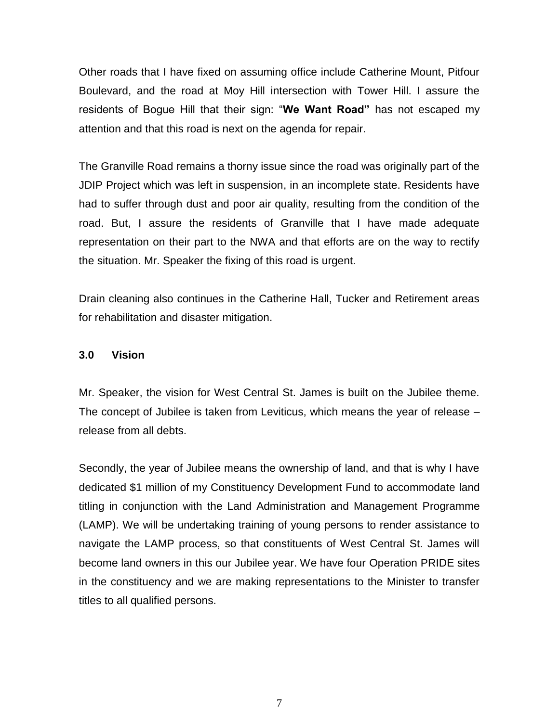Other roads that I have fixed on assuming office include Catherine Mount, Pitfour Boulevard, and the road at Moy Hill intersection with Tower Hill. I assure the residents of Bogue Hill that their sign: "**We Want Road"** has not escaped my attention and that this road is next on the agenda for repair.

The Granville Road remains a thorny issue since the road was originally part of the JDIP Project which was left in suspension, in an incomplete state. Residents have had to suffer through dust and poor air quality, resulting from the condition of the road. But, I assure the residents of Granville that I have made adequate representation on their part to the NWA and that efforts are on the way to rectify the situation. Mr. Speaker the fixing of this road is urgent.

Drain cleaning also continues in the Catherine Hall, Tucker and Retirement areas for rehabilitation and disaster mitigation.

## **3.0 Vision**

Mr. Speaker, the vision for West Central St. James is built on the Jubilee theme. The concept of Jubilee is taken from Leviticus, which means the year of release – release from all debts.

Secondly, the year of Jubilee means the ownership of land, and that is why I have dedicated \$1 million of my Constituency Development Fund to accommodate land titling in conjunction with the Land Administration and Management Programme (LAMP). We will be undertaking training of young persons to render assistance to navigate the LAMP process, so that constituents of West Central St. James will become land owners in this our Jubilee year. We have four Operation PRIDE sites in the constituency and we are making representations to the Minister to transfer titles to all qualified persons.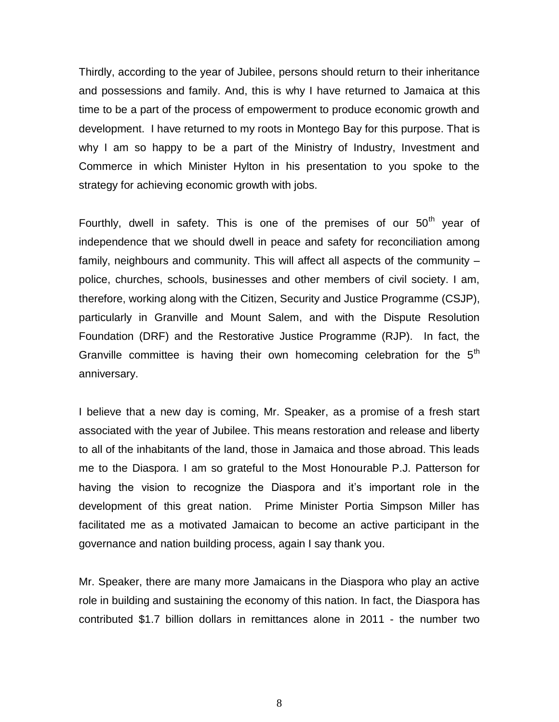Thirdly, according to the year of Jubilee, persons should return to their inheritance and possessions and family. And, this is why I have returned to Jamaica at this time to be a part of the process of empowerment to produce economic growth and development. I have returned to my roots in Montego Bay for this purpose. That is why I am so happy to be a part of the Ministry of Industry, Investment and Commerce in which Minister Hylton in his presentation to you spoke to the strategy for achieving economic growth with jobs.

Fourthly, dwell in safety. This is one of the premises of our  $50<sup>th</sup>$  year of independence that we should dwell in peace and safety for reconciliation among family, neighbours and community. This will affect all aspects of the community – police, churches, schools, businesses and other members of civil society. I am, therefore, working along with the Citizen, Security and Justice Programme (CSJP), particularly in Granville and Mount Salem, and with the Dispute Resolution Foundation (DRF) and the Restorative Justice Programme (RJP). In fact, the Granville committee is having their own homecoming celebration for the 5<sup>th</sup> anniversary.

I believe that a new day is coming, Mr. Speaker, as a promise of a fresh start associated with the year of Jubilee. This means restoration and release and liberty to all of the inhabitants of the land, those in Jamaica and those abroad. This leads me to the Diaspora. I am so grateful to the Most Honourable P.J. Patterson for having the vision to recognize the Diaspora and it's important role in the development of this great nation. Prime Minister Portia Simpson Miller has facilitated me as a motivated Jamaican to become an active participant in the governance and nation building process, again I say thank you.

Mr. Speaker, there are many more Jamaicans in the Diaspora who play an active role in building and sustaining the economy of this nation. In fact, the Diaspora has contributed \$1.7 billion dollars in remittances alone in 2011 - the number two

8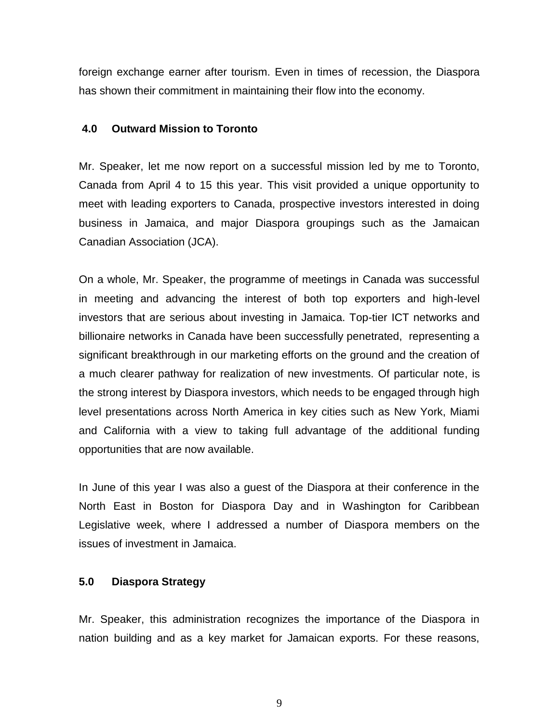foreign exchange earner after tourism. Even in times of recession, the Diaspora has shown their commitment in maintaining their flow into the economy.

#### **4.0 Outward Mission to Toronto**

Mr. Speaker, let me now report on a successful mission led by me to Toronto, Canada from April 4 to 15 this year. This visit provided a unique opportunity to meet with leading exporters to Canada, prospective investors interested in doing business in Jamaica, and major Diaspora groupings such as the Jamaican Canadian Association (JCA).

On a whole, Mr. Speaker, the programme of meetings in Canada was successful in meeting and advancing the interest of both top exporters and high-level investors that are serious about investing in Jamaica. Top-tier ICT networks and billionaire networks in Canada have been successfully penetrated, representing a significant breakthrough in our marketing efforts on the ground and the creation of a much clearer pathway for realization of new investments. Of particular note, is the strong interest by Diaspora investors, which needs to be engaged through high level presentations across North America in key cities such as New York, Miami and California with a view to taking full advantage of the additional funding opportunities that are now available.

In June of this year I was also a guest of the Diaspora at their conference in the North East in Boston for Diaspora Day and in Washington for Caribbean Legislative week, where I addressed a number of Diaspora members on the issues of investment in Jamaica.

#### **5.0 Diaspora Strategy**

Mr. Speaker, this administration recognizes the importance of the Diaspora in nation building and as a key market for Jamaican exports. For these reasons,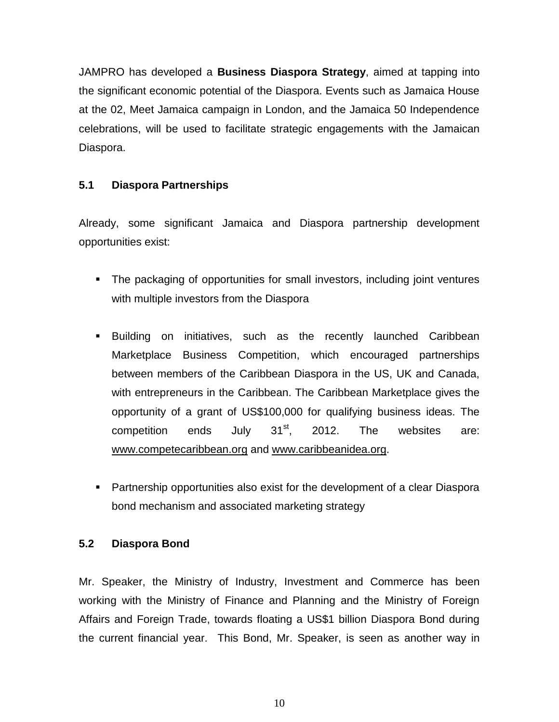JAMPRO has developed a **Business Diaspora Strategy**, aimed at tapping into the significant economic potential of the Diaspora. Events such as Jamaica House at the 02, Meet Jamaica campaign in London, and the Jamaica 50 Independence celebrations, will be used to facilitate strategic engagements with the Jamaican Diaspora.

# **5.1 Diaspora Partnerships**

Already, some significant Jamaica and Diaspora partnership development opportunities exist:

- **The packaging of opportunities for small investors, including joint ventures** with multiple investors from the Diaspora
- Building on initiatives, such as the recently launched Caribbean Marketplace Business Competition, which encouraged partnerships between members of the Caribbean Diaspora in the US, UK and Canada, with entrepreneurs in the Caribbean. The Caribbean Marketplace gives the opportunity of a grant of US\$100,000 for qualifying business ideas. The competition ends July  $31^{st}$ , 2012. The websites are: [www.competecaribbean.org](http://www.competecaribbean.org/) and [www.caribbeanidea.org.](http://www.caribbeanidea.org/)
- Partnership opportunities also exist for the development of a clear Diaspora bond mechanism and associated marketing strategy

# **5.2 Diaspora Bond**

Mr. Speaker, the Ministry of Industry, Investment and Commerce has been working with the Ministry of Finance and Planning and the Ministry of Foreign Affairs and Foreign Trade, towards floating a US\$1 billion Diaspora Bond during the current financial year. This Bond, Mr. Speaker, is seen as another way in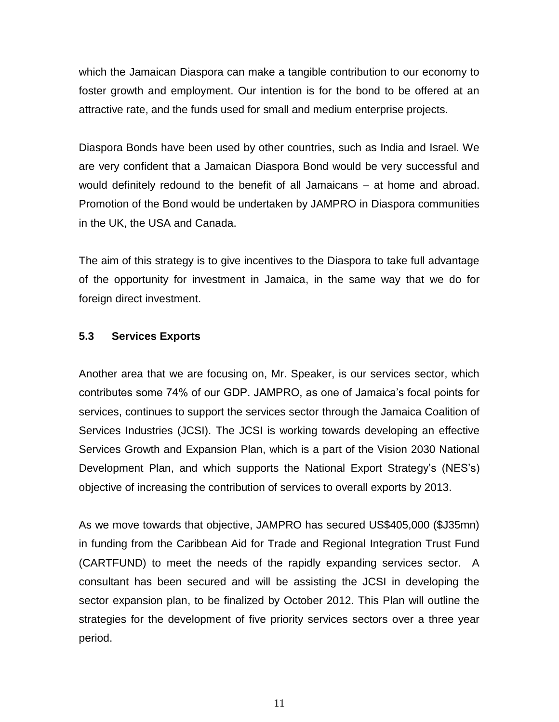which the Jamaican Diaspora can make a tangible contribution to our economy to foster growth and employment. Our intention is for the bond to be offered at an attractive rate, and the funds used for small and medium enterprise projects.

Diaspora Bonds have been used by other countries, such as India and Israel. We are very confident that a Jamaican Diaspora Bond would be very successful and would definitely redound to the benefit of all Jamaicans – at home and abroad. Promotion of the Bond would be undertaken by JAMPRO in Diaspora communities in the UK, the USA and Canada.

The aim of this strategy is to give incentives to the Diaspora to take full advantage of the opportunity for investment in Jamaica, in the same way that we do for foreign direct investment.

#### **5.3 Services Exports**

Another area that we are focusing on, Mr. Speaker, is our services sector, which contributes some 74% of our GDP. JAMPRO, as one of Jamaica's focal points for services, continues to support the services sector through the Jamaica Coalition of Services Industries (JCSI). The JCSI is working towards developing an effective Services Growth and Expansion Plan, which is a part of the Vision 2030 National Development Plan, and which supports the National Export Strategy's (NES's) objective of increasing the contribution of services to overall exports by 2013.

As we move towards that objective, JAMPRO has secured US\$405,000 (\$J35mn) in funding from the Caribbean Aid for Trade and Regional Integration Trust Fund (CARTFUND) to meet the needs of the rapidly expanding services sector. A consultant has been secured and will be assisting the JCSI in developing the sector expansion plan, to be finalized by October 2012. This Plan will outline the strategies for the development of five priority services sectors over a three year period.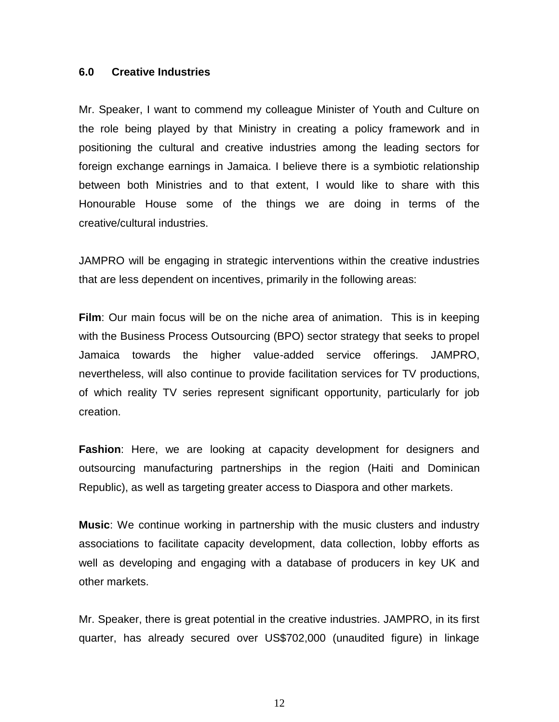#### **6.0 Creative Industries**

Mr. Speaker, I want to commend my colleague Minister of Youth and Culture on the role being played by that Ministry in creating a policy framework and in positioning the cultural and creative industries among the leading sectors for foreign exchange earnings in Jamaica. I believe there is a symbiotic relationship between both Ministries and to that extent, I would like to share with this Honourable House some of the things we are doing in terms of the creative/cultural industries.

JAMPRO will be engaging in strategic interventions within the creative industries that are less dependent on incentives, primarily in the following areas:

**Film**: Our main focus will be on the niche area of animation. This is in keeping with the Business Process Outsourcing (BPO) sector strategy that seeks to propel Jamaica towards the higher value-added service offerings. JAMPRO, nevertheless, will also continue to provide facilitation services for TV productions, of which reality TV series represent significant opportunity, particularly for job creation.

**Fashion**: Here, we are looking at capacity development for designers and outsourcing manufacturing partnerships in the region (Haiti and Dominican Republic), as well as targeting greater access to Diaspora and other markets.

**Music**: We continue working in partnership with the music clusters and industry associations to facilitate capacity development, data collection, lobby efforts as well as developing and engaging with a database of producers in key UK and other markets.

Mr. Speaker, there is great potential in the creative industries. JAMPRO, in its first quarter, has already secured over US\$702,000 (unaudited figure) in linkage

12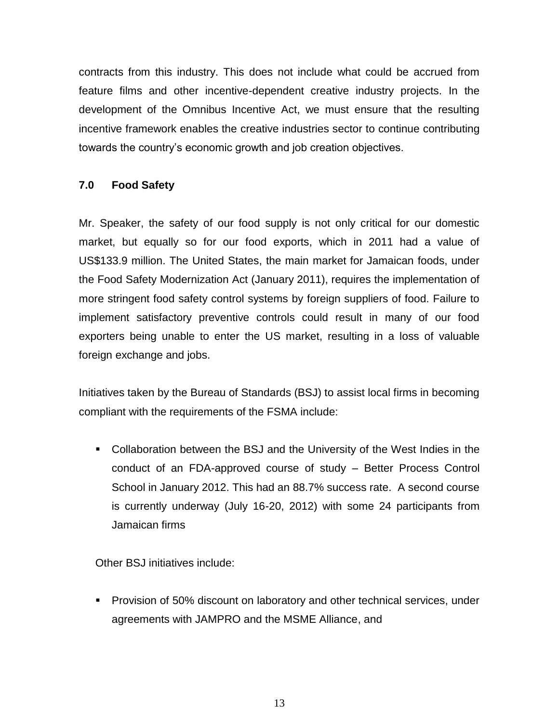contracts from this industry. This does not include what could be accrued from feature films and other incentive-dependent creative industry projects. In the development of the Omnibus Incentive Act, we must ensure that the resulting incentive framework enables the creative industries sector to continue contributing towards the country's economic growth and job creation objectives.

# **7.0 Food Safety**

Mr. Speaker, the safety of our food supply is not only critical for our domestic market, but equally so for our food exports, which in 2011 had a value of US\$133.9 million. The United States, the main market for Jamaican foods, under the Food Safety Modernization Act (January 2011), requires the implementation of more stringent food safety control systems by foreign suppliers of food. Failure to implement satisfactory preventive controls could result in many of our food exporters being unable to enter the US market, resulting in a loss of valuable foreign exchange and jobs.

Initiatives taken by the Bureau of Standards (BSJ) to assist local firms in becoming compliant with the requirements of the FSMA include:

 Collaboration between the BSJ and the University of the West Indies in the conduct of an FDA-approved course of study – Better Process Control School in January 2012. This had an 88.7% success rate. A second course is currently underway (July 16-20, 2012) with some 24 participants from Jamaican firms

Other BSJ initiatives include:

**Provision of 50% discount on laboratory and other technical services, under** agreements with JAMPRO and the MSME Alliance, and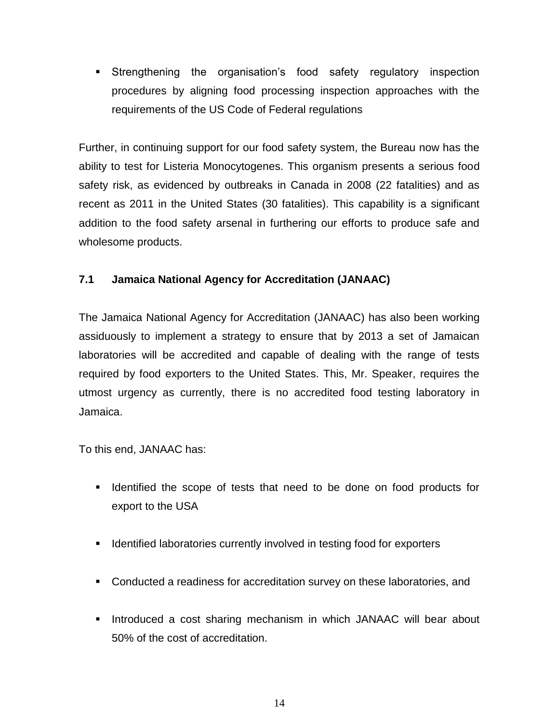Strengthening the organisation's food safety regulatory inspection procedures by aligning food processing inspection approaches with the requirements of the US Code of Federal regulations

Further, in continuing support for our food safety system, the Bureau now has the ability to test for Listeria Monocytogenes. This organism presents a serious food safety risk, as evidenced by outbreaks in Canada in 2008 (22 fatalities) and as recent as 2011 in the United States (30 fatalities). This capability is a significant addition to the food safety arsenal in furthering our efforts to produce safe and wholesome products.

# **7.1 Jamaica National Agency for Accreditation (JANAAC)**

The Jamaica National Agency for Accreditation (JANAAC) has also been working assiduously to implement a strategy to ensure that by 2013 a set of Jamaican laboratories will be accredited and capable of dealing with the range of tests required by food exporters to the United States. This, Mr. Speaker, requires the utmost urgency as currently, there is no accredited food testing laboratory in Jamaica.

To this end, JANAAC has:

- Identified the scope of tests that need to be done on food products for export to the USA
- **IDENTIFIED ISO ISON ISONATO ISONATION I**nvolved in testing food for exporters
- **Conducted a readiness for accreditation survey on these laboratories, and**
- **Introduced a cost sharing mechanism in which JANAAC will bear about** 50% of the cost of accreditation.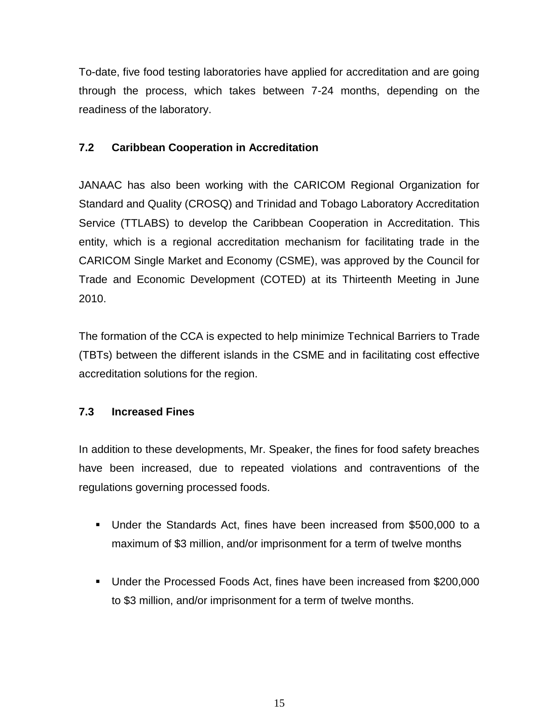To-date, five food testing laboratories have applied for accreditation and are going through the process, which takes between 7-24 months, depending on the readiness of the laboratory.

# **7.2 Caribbean Cooperation in Accreditation**

JANAAC has also been working with the CARICOM Regional Organization for Standard and Quality (CROSQ) and Trinidad and Tobago Laboratory Accreditation Service (TTLABS) to develop the Caribbean Cooperation in Accreditation. This entity, which is a regional accreditation mechanism for facilitating trade in the CARICOM Single Market and Economy (CSME), was approved by the Council for Trade and Economic Development (COTED) at its Thirteenth Meeting in June 2010.

The formation of the CCA is expected to help minimize Technical Barriers to Trade (TBTs) between the different islands in the CSME and in facilitating cost effective accreditation solutions for the region.

# **7.3 Increased Fines**

In addition to these developments, Mr. Speaker, the fines for food safety breaches have been increased, due to repeated violations and contraventions of the regulations governing processed foods.

- Under the Standards Act, fines have been increased from \$500,000 to a maximum of \$3 million, and/or imprisonment for a term of twelve months
- Under the Processed Foods Act, fines have been increased from \$200,000 to \$3 million, and/or imprisonment for a term of twelve months.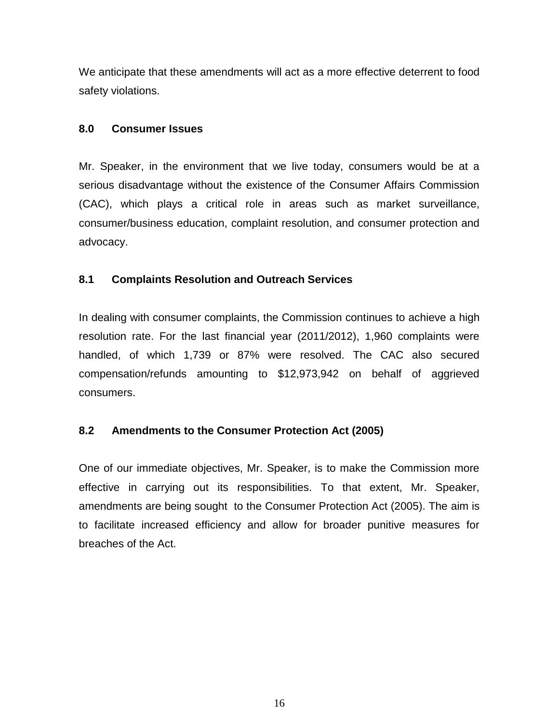We anticipate that these amendments will act as a more effective deterrent to food safety violations.

## **8.0 Consumer Issues**

Mr. Speaker, in the environment that we live today, consumers would be at a serious disadvantage without the existence of the Consumer Affairs Commission (CAC), which plays a critical role in areas such as market surveillance, consumer/business education, complaint resolution, and consumer protection and advocacy.

# **8.1 Complaints Resolution and Outreach Services**

In dealing with consumer complaints, the Commission continues to achieve a high resolution rate. For the last financial year (2011/2012), 1,960 complaints were handled, of which 1,739 or 87% were resolved. The CAC also secured compensation/refunds amounting to \$12,973,942 on behalf of aggrieved consumers.

# **8.2 Amendments to the Consumer Protection Act (2005)**

One of our immediate objectives, Mr. Speaker, is to make the Commission more effective in carrying out its responsibilities. To that extent, Mr. Speaker, amendments are being sought to the Consumer Protection Act (2005). The aim is to facilitate increased efficiency and allow for broader punitive measures for breaches of the Act.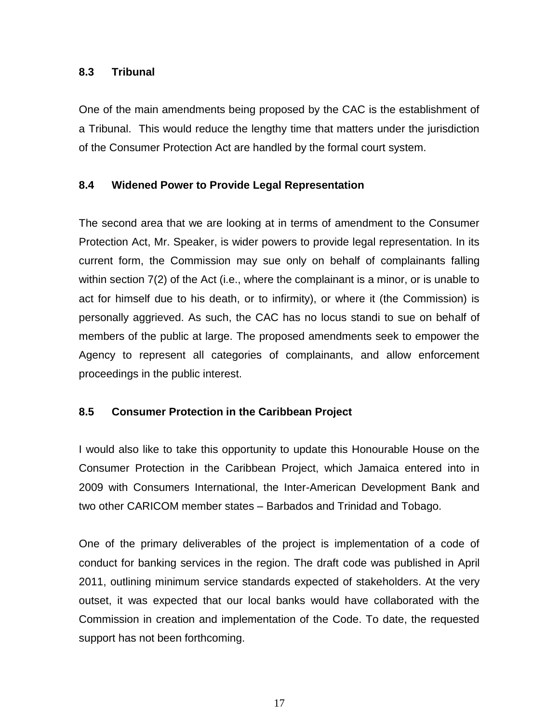# **8.3 Tribunal**

One of the main amendments being proposed by the CAC is the establishment of a Tribunal. This would reduce the lengthy time that matters under the jurisdiction of the Consumer Protection Act are handled by the formal court system.

# **8.4 Widened Power to Provide Legal Representation**

The second area that we are looking at in terms of amendment to the Consumer Protection Act, Mr. Speaker, is wider powers to provide legal representation. In its current form, the Commission may sue only on behalf of complainants falling within section 7(2) of the Act (i.e., where the complainant is a minor, or is unable to act for himself due to his death, or to infirmity), or where it (the Commission) is personally aggrieved. As such, the CAC has no locus standi to sue on behalf of members of the public at large. The proposed amendments seek to empower the Agency to represent all categories of complainants, and allow enforcement proceedings in the public interest.

# **8.5 Consumer Protection in the Caribbean Project**

I would also like to take this opportunity to update this Honourable House on the Consumer Protection in the Caribbean Project, which Jamaica entered into in 2009 with Consumers International, the Inter-American Development Bank and two other CARICOM member states – Barbados and Trinidad and Tobago.

One of the primary deliverables of the project is implementation of a code of conduct for banking services in the region. The draft code was published in April 2011, outlining minimum service standards expected of stakeholders. At the very outset, it was expected that our local banks would have collaborated with the Commission in creation and implementation of the Code. To date, the requested support has not been forthcoming.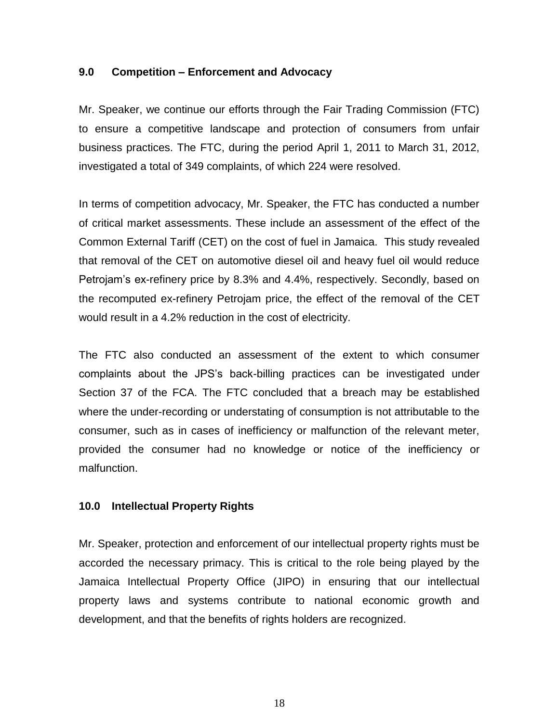#### **9.0 Competition – Enforcement and Advocacy**

Mr. Speaker, we continue our efforts through the Fair Trading Commission (FTC) to ensure a competitive landscape and protection of consumers from unfair business practices. The FTC, during the period April 1, 2011 to March 31, 2012, investigated a total of 349 complaints, of which 224 were resolved.

In terms of competition advocacy, Mr. Speaker, the FTC has conducted a number of critical market assessments. These include an assessment of the effect of the Common External Tariff (CET) on the cost of fuel in Jamaica. This study revealed that removal of the CET on automotive diesel oil and heavy fuel oil would reduce Petrojam's ex-refinery price by 8.3% and 4.4%, respectively. Secondly, based on the recomputed ex-refinery Petrojam price, the effect of the removal of the CET would result in a 4.2% reduction in the cost of electricity.

The FTC also conducted an assessment of the extent to which consumer complaints about the JPS's back-billing practices can be investigated under Section 37 of the FCA. The FTC concluded that a breach may be established where the under-recording or understating of consumption is not attributable to the consumer, such as in cases of inefficiency or malfunction of the relevant meter, provided the consumer had no knowledge or notice of the inefficiency or malfunction.

# **10.0 Intellectual Property Rights**

Mr. Speaker, protection and enforcement of our intellectual property rights must be accorded the necessary primacy. This is critical to the role being played by the Jamaica Intellectual Property Office (JIPO) in ensuring that our intellectual property laws and systems contribute to national economic growth and development, and that the benefits of rights holders are recognized.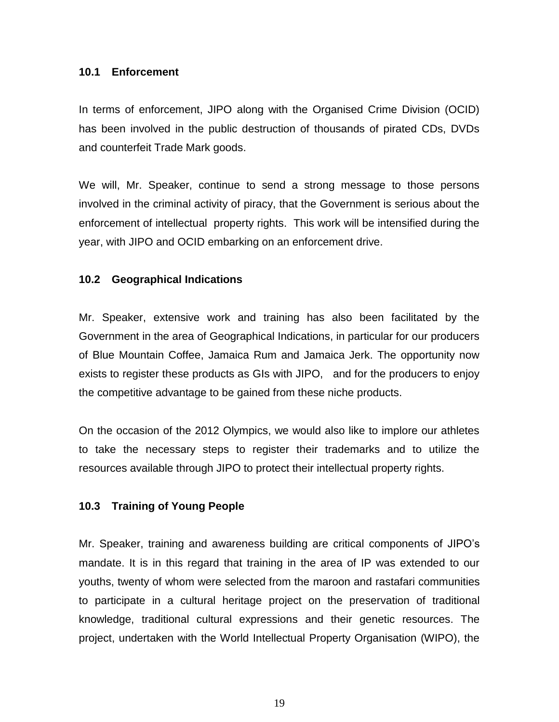#### **10.1 Enforcement**

In terms of enforcement, JIPO along with the Organised Crime Division (OCID) has been involved in the public destruction of thousands of pirated CDs, DVDs and counterfeit Trade Mark goods.

We will, Mr. Speaker, continue to send a strong message to those persons involved in the criminal activity of piracy, that the Government is serious about the enforcement of intellectual property rights. This work will be intensified during the year, with JIPO and OCID embarking on an enforcement drive.

# **10.2 Geographical Indications**

Mr. Speaker, extensive work and training has also been facilitated by the Government in the area of Geographical Indications, in particular for our producers of Blue Mountain Coffee, Jamaica Rum and Jamaica Jerk. The opportunity now exists to register these products as GIs with JIPO, and for the producers to enjoy the competitive advantage to be gained from these niche products.

On the occasion of the 2012 Olympics, we would also like to implore our athletes to take the necessary steps to register their trademarks and to utilize the resources available through JIPO to protect their intellectual property rights.

# **10.3 Training of Young People**

Mr. Speaker, training and awareness building are critical components of JIPO's mandate. It is in this regard that training in the area of IP was extended to our youths, twenty of whom were selected from the maroon and rastafari communities to participate in a cultural heritage project on the preservation of traditional knowledge, traditional cultural expressions and their genetic resources. The project, undertaken with the World Intellectual Property Organisation (WIPO), the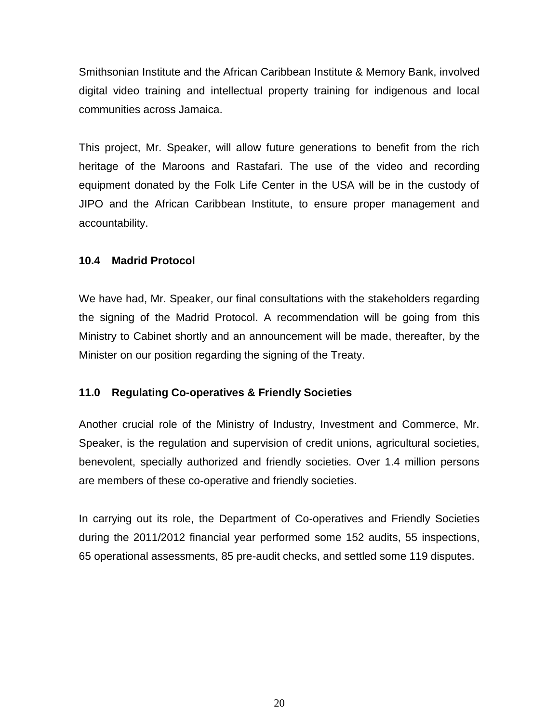Smithsonian Institute and the African Caribbean Institute & Memory Bank, involved digital video training and intellectual property training for indigenous and local communities across Jamaica.

This project, Mr. Speaker, will allow future generations to benefit from the rich heritage of the Maroons and Rastafari. The use of the video and recording equipment donated by the Folk Life Center in the USA will be in the custody of JIPO and the African Caribbean Institute, to ensure proper management and accountability.

# **10.4 Madrid Protocol**

We have had, Mr. Speaker, our final consultations with the stakeholders regarding the signing of the Madrid Protocol. A recommendation will be going from this Ministry to Cabinet shortly and an announcement will be made, thereafter, by the Minister on our position regarding the signing of the Treaty.

# **11.0 Regulating Co-operatives & Friendly Societies**

Another crucial role of the Ministry of Industry, Investment and Commerce, Mr. Speaker, is the regulation and supervision of credit unions, agricultural societies, benevolent, specially authorized and friendly societies. Over 1.4 million persons are members of these co-operative and friendly societies.

In carrying out its role, the Department of Co-operatives and Friendly Societies during the 2011/2012 financial year performed some 152 audits, 55 inspections, 65 operational assessments, 85 pre-audit checks, and settled some 119 disputes.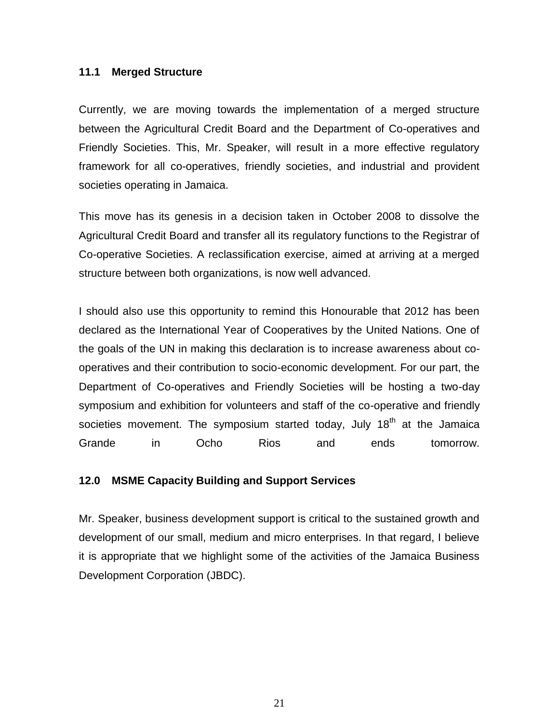#### **11.1 Merged Structure**

Currently, we are moving towards the implementation of a merged structure between the Agricultural Credit Board and the Department of Co-operatives and Friendly Societies. This, Mr. Speaker, will result in a more effective regulatory framework for all co-operatives, friendly societies, and industrial and provident societies operating in Jamaica.

This move has its genesis in a decision taken in October 2008 to dissolve the Agricultural Credit Board and transfer all its regulatory functions to the Registrar of Co-operative Societies. A reclassification exercise, aimed at arriving at a merged structure between both organizations, is now well advanced.

I should also use this opportunity to remind this Honourable that 2012 has been declared as the International Year of Cooperatives by the United Nations. One of the goals of the UN in making this declaration is to increase awareness about cooperatives and their contribution to socio-economic development. For our part, the Department of Co-operatives and Friendly Societies will be hosting a two-day symposium and exhibition for volunteers and staff of the co-operative and friendly societies movement. The symposium started today, July 18<sup>th</sup> at the Jamaica Grande in Ocho Rios and ends tomorrow.

# **12.0 MSME Capacity Building and Support Services**

Mr. Speaker, business development support is critical to the sustained growth and development of our small, medium and micro enterprises. In that regard, I believe it is appropriate that we highlight some of the activities of the Jamaica Business Development Corporation (JBDC).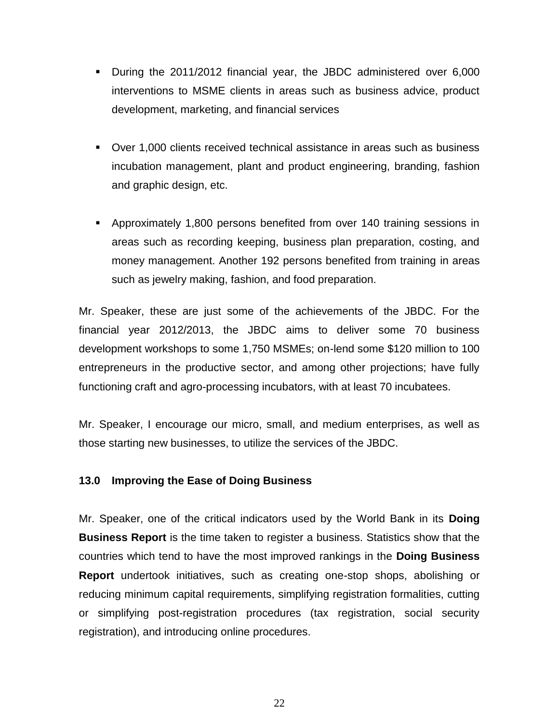- During the 2011/2012 financial year, the JBDC administered over 6,000 interventions to MSME clients in areas such as business advice, product development, marketing, and financial services
- Over 1,000 clients received technical assistance in areas such as business incubation management, plant and product engineering, branding, fashion and graphic design, etc.
- Approximately 1,800 persons benefited from over 140 training sessions in areas such as recording keeping, business plan preparation, costing, and money management. Another 192 persons benefited from training in areas such as jewelry making, fashion, and food preparation.

Mr. Speaker, these are just some of the achievements of the JBDC. For the financial year 2012/2013, the JBDC aims to deliver some 70 business development workshops to some 1,750 MSMEs; on-lend some \$120 million to 100 entrepreneurs in the productive sector, and among other projections; have fully functioning craft and agro-processing incubators, with at least 70 incubatees.

Mr. Speaker, I encourage our micro, small, and medium enterprises, as well as those starting new businesses, to utilize the services of the JBDC.

# **13.0 Improving the Ease of Doing Business**

Mr. Speaker, one of the critical indicators used by the World Bank in its **Doing Business Report** is the time taken to register a business. Statistics show that the countries which tend to have the most improved rankings in the **Doing Business Report** undertook initiatives, such as creating one-stop shops, abolishing or reducing minimum capital requirements, simplifying registration formalities, cutting or simplifying post-registration procedures (tax registration, social security registration), and introducing online procedures.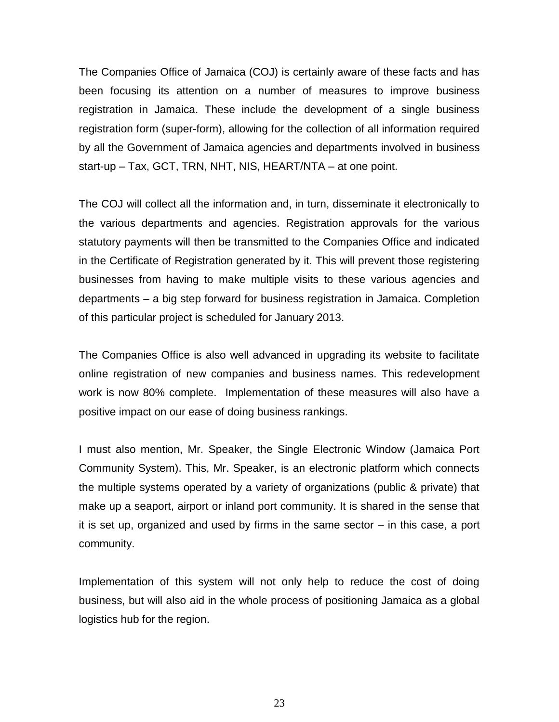The Companies Office of Jamaica (COJ) is certainly aware of these facts and has been focusing its attention on a number of measures to improve business registration in Jamaica. These include the development of a single business registration form (super-form), allowing for the collection of all information required by all the Government of Jamaica agencies and departments involved in business start-up – Tax, GCT, TRN, NHT, NIS, HEART/NTA – at one point.

The COJ will collect all the information and, in turn, disseminate it electronically to the various departments and agencies. Registration approvals for the various statutory payments will then be transmitted to the Companies Office and indicated in the Certificate of Registration generated by it. This will prevent those registering businesses from having to make multiple visits to these various agencies and departments – a big step forward for business registration in Jamaica. Completion of this particular project is scheduled for January 2013.

The Companies Office is also well advanced in upgrading its website to facilitate online registration of new companies and business names. This redevelopment work is now 80% complete. Implementation of these measures will also have a positive impact on our ease of doing business rankings.

I must also mention, Mr. Speaker, the Single Electronic Window (Jamaica Port Community System). This, Mr. Speaker, is an electronic platform which connects the multiple systems operated by a variety of organizations (public & private) that make up a seaport, airport or inland port community. It is shared in the sense that it is set up, organized and used by firms in the same sector – in this case, a port community.

Implementation of this system will not only help to reduce the cost of doing business, but will also aid in the whole process of positioning Jamaica as a global logistics hub for the region.